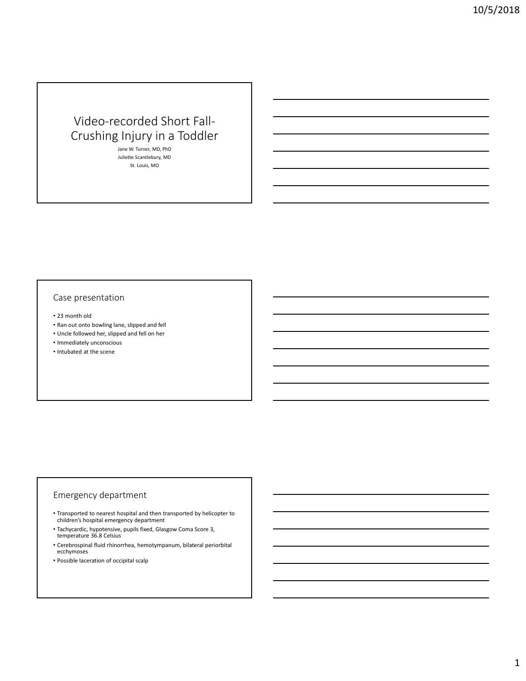# Video-recorded Short Fall-Crushing Injury in a Toddler

Jane W. Turner, MD, PhD Juliette Scantlebury, MD St. Louis, MO

### Case presentation

- 23 month old
- Ran out onto bowling lane, slipped and fell
- Uncle followed her, slipped and fell on her
- Immediately unconscious
- Intubated at the scene

### Emergency department

- Transported to nearest hospital and then transported by helicopter to children's hospital emergency department
- Tachycardic, hypotensive, pupils fixed, Glasgow Coma Score 3, temperature 36.8 Celsius
- Cerebrospinal fluid rhinorrhea, hemotympanum, bilateral periorbital ecchymoses
- Possible laceration of occipital scalp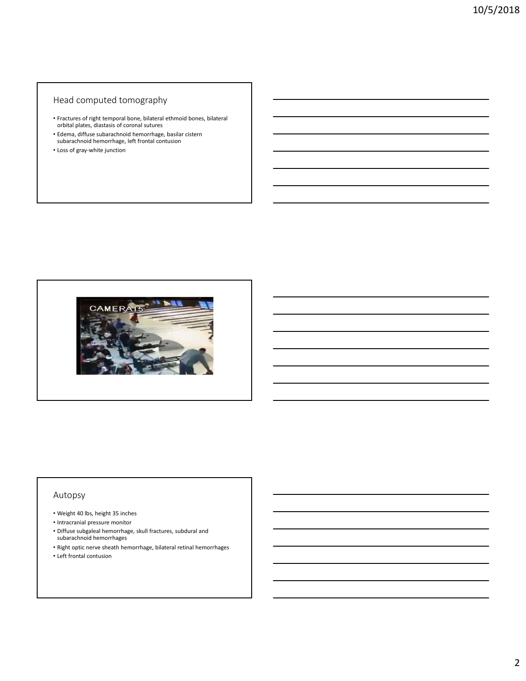# Head computed tomography

- Fractures of right temporal bone, bilateral ethmoid bones, bilateral orbital plates, diastasis of coronal sutures
- Edema, diffuse subarachnoid hemorrhage, basilar cistern subarachnoid hemorrhage, left frontal contusion
- Loss of gray-white junction



#### Autopsy

- Weight 40 lbs, height 35 inches
- Intracranial pressure monitor
- Diffuse subgaleal hemorrhage, skull fractures, subdural and subarachnoid hemorrhages
- Right optic nerve sheath hemorrhage, bilateral retinal hemorrhages
- Left frontal contusion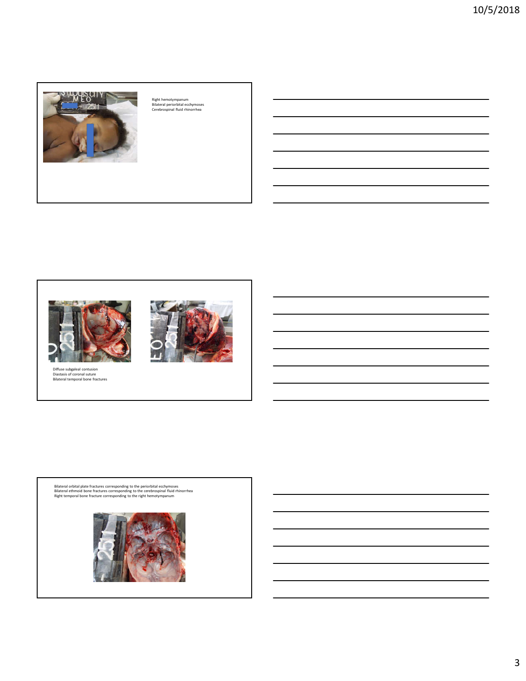

Right hemotympanum Bilateral periorbital ecchymoses Cerebrospinal fluid rhinorrhea



Diffuse subgaleal contusion Diastasis of coronal suture Bilateral temporal bone fractures



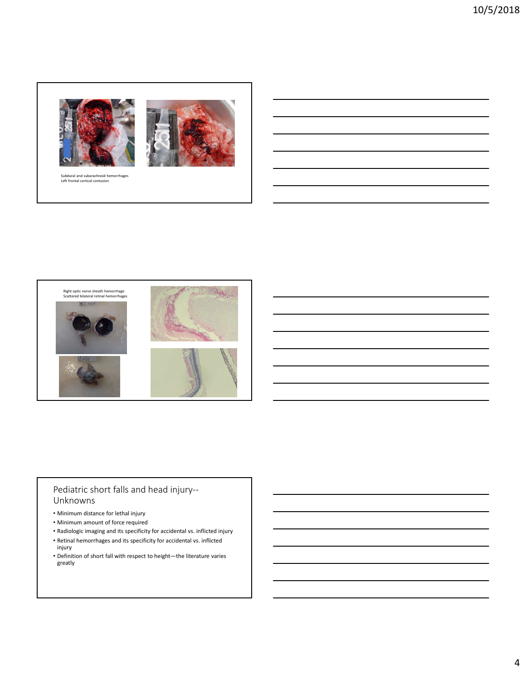



# Pediatric short falls and head injury-- Unknowns

- Minimum distance for lethal injury
- Minimum amount of force required
- Radiologic imaging and its specificity for accidental vs. inflicted injury
- Retinal hemorrhages and its specificity for accidental vs. inflicted injury
- Definition of short fall with respect to height—the literature varies greatly